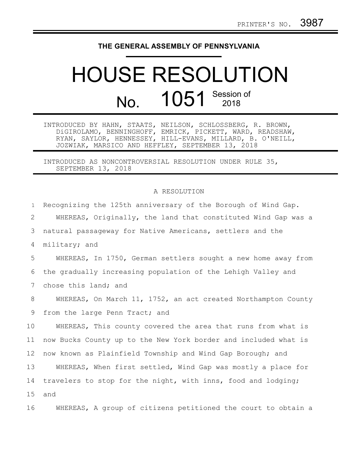## **THE GENERAL ASSEMBLY OF PENNSYLVANIA**

## HOUSE RESOLUTION No. 1051 Session of

INTRODUCED BY HAHN, STAATS, NEILSON, SCHLOSSBERG, R. BROWN, DiGIROLAMO, BENNINGHOFF, EMRICK, PICKETT, WARD, READSHAW, RYAN, SAYLOR, HENNESSEY, HILL-EVANS, MILLARD, B. O'NEILL, JOZWIAK, MARSICO AND HEFFLEY, SEPTEMBER 13, 2018

INTRODUCED AS NONCONTROVERSIAL RESOLUTION UNDER RULE 35, SEPTEMBER 13, 2018

## A RESOLUTION

| $\mathbf{1}$    | Recognizing the 125th anniversary of the Borough of Wind Gap.   |
|-----------------|-----------------------------------------------------------------|
| 2               | WHEREAS, Originally, the land that constituted Wind Gap was a   |
| 3               | natural passageway for Native Americans, settlers and the       |
| 4               | military; and                                                   |
| 5               | WHEREAS, In 1750, German settlers sought a new home away from   |
| 6               | the gradually increasing population of the Lehigh Valley and    |
| 7               | chose this land; and                                            |
| 8               | WHEREAS, On March 11, 1752, an act created Northampton County   |
| 9               | from the large Penn Tract; and                                  |
| 10              | WHEREAS, This county covered the area that runs from what is    |
| 11              | now Bucks County up to the New York border and included what is |
| 12 <sup>°</sup> | now known as Plainfield Township and Wind Gap Borough; and      |
| 13              | WHEREAS, When first settled, Wind Gap was mostly a place for    |
| 14              | travelers to stop for the night, with inns, food and lodging;   |
| 15              | and                                                             |
| 16              | WHEREAS, A group of citizens petitioned the court to obtain a   |